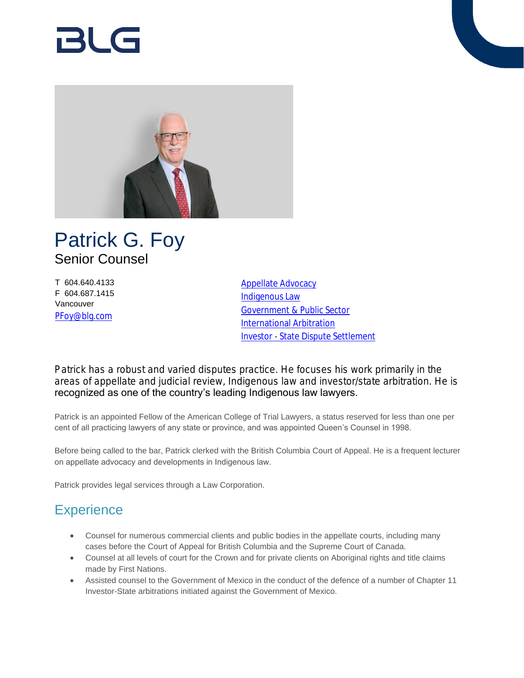# RI G



## Patrick G. Foy Senior Counsel

T 604.640.4133 F 604.687.1415 Vancouver [PFoy@blg.com](mailto:PFoy@blg.com)

[Appellate Advocacy](https://www.blg.com/en/services/practice-areas/disputes/appellate-advocacy) [Indigenous Law](https://www.blg.com/en/services/practice-areas/indigenous-law) [Government & Public Sector](https://www.blg.com/en/services/industries/government-,-a-,-public-sector) [International Arbitration](https://www.blg.com/en/services/practice-areas/disputes/international-arbitration) [Investor - State Dispute Settlement](https://www.blg.com/en/services/practice-areas/disputes/investor-state-dispute-settlement)

Patrick has a robust and varied disputes practice. He focuses his work primarily in the areas of appellate and judicial review, Indigenous law and investor/state arbitration. He is recognized as one of the country's leading Indigenous law lawyers.

Patrick is an appointed Fellow of the American College of Trial Lawyers, a status reserved for less than one per cent of all practicing lawyers of any state or province, and was appointed Queen's Counsel in 1998.

Before being called to the bar, Patrick clerked with the British Columbia Court of Appeal. He is a frequent lecturer on appellate advocacy and developments in Indigenous law.

Patrick provides legal services through a Law Corporation.

## **Experience**

- Counsel for numerous commercial clients and public bodies in the appellate courts, including many cases before the Court of Appeal for British Columbia and the Supreme Court of Canada.
- Counsel at all levels of court for the Crown and for private clients on Aboriginal rights and title claims made by First Nations.
- Assisted counsel to the Government of Mexico in the conduct of the defence of a number of Chapter 11 Investor-State arbitrations initiated against the Government of Mexico.